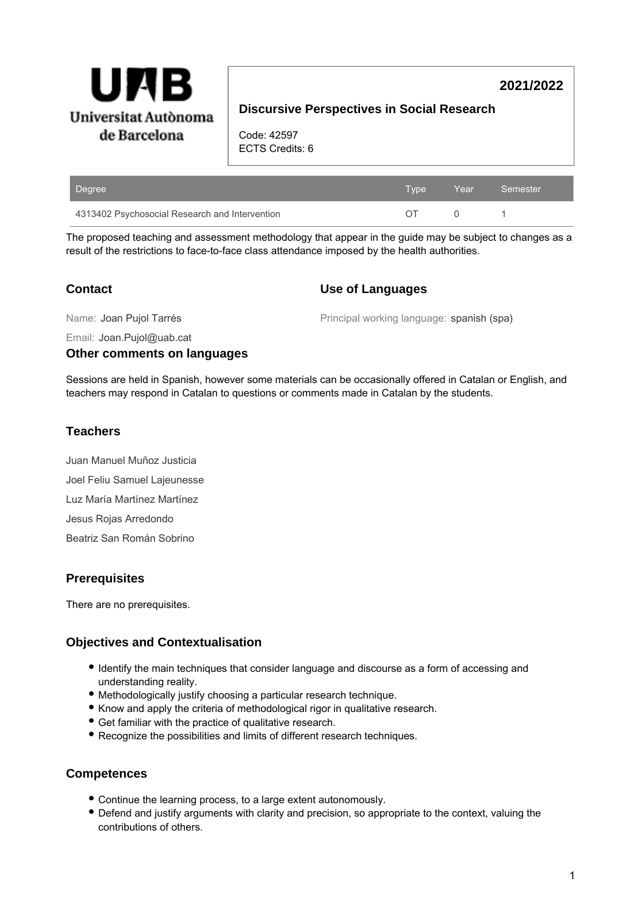

# **2021/2022**

# **Discursive Perspectives in Social Research**

Code: 42597 ECTS Credits: 6

| Degree                                         | Type | Year Semester |
|------------------------------------------------|------|---------------|
| 4313402 Psychosocial Research and Intervention |      |               |

The proposed teaching and assessment methodology that appear in the guide may be subject to changes as a result of the restrictions to face-to-face class attendance imposed by the health authorities.

### **Contact**

#### **Use of Languages**

Name: Joan Pujol Tarrés

Principal working language: spanish (spa)

Email: Joan.Pujol@uab.cat

#### **Other comments on languages**

Sessions are held in Spanish, however some materials can be occasionally offered in Catalan or English, and teachers may respond in Catalan to questions or comments made in Catalan by the students.

## **Teachers**

Juan Manuel Muñoz Justicia Joel Feliu Samuel Lajeunesse Luz María Martínez Martínez Jesus Rojas Arredondo Beatriz San Román Sobrino

## **Prerequisites**

There are no prerequisites.

## **Objectives and Contextualisation**

- Identify the main techniques that consider language and discourse as a form of accessing and understanding reality.
- Methodologically justify choosing a particular research technique.
- Know and apply the criteria of methodological rigor in qualitative research.
- Get familiar with the practice of qualitative research.
- Recognize the possibilities and limits of different research techniques.

#### **Competences**

- Continue the learning process, to a large extent autonomously.
- Defend and justify arguments with clarity and precision, so appropriate to the context, valuing the contributions of others.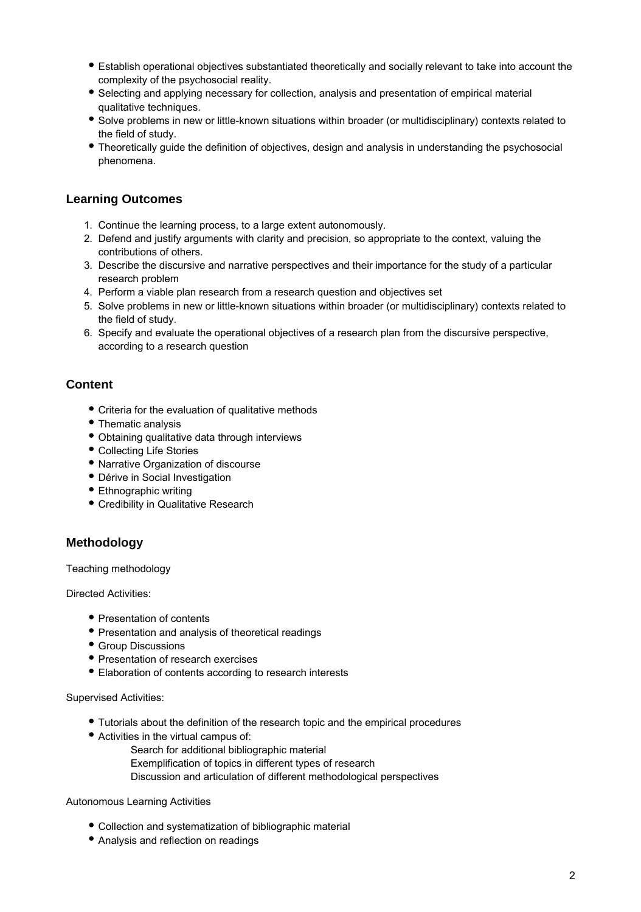- Establish operational objectives substantiated theoretically and socially relevant to take into account the complexity of the psychosocial reality.
- Selecting and applying necessary for collection, analysis and presentation of empirical material qualitative techniques.
- Solve problems in new or little-known situations within broader (or multidisciplinary) contexts related to the field of study.
- Theoretically guide the definition of objectives, design and analysis in understanding the psychosocial phenomena.

## **Learning Outcomes**

- 1. Continue the learning process, to a large extent autonomously.
- 2. Defend and justify arguments with clarity and precision, so appropriate to the context, valuing the contributions of others.
- 3. Describe the discursive and narrative perspectives and their importance for the study of a particular research problem
- 4. Perform a viable plan research from a research question and objectives set
- 5. Solve problems in new or little-known situations within broader (or multidisciplinary) contexts related to the field of study.
- 6. Specify and evaluate the operational objectives of a research plan from the discursive perspective, according to a research question

#### **Content**

- Criteria for the evaluation of qualitative methods
- Thematic analysis
- Obtaining qualitative data through interviews
- Collecting Life Stories
- Narrative Organization of discourse
- Dérive in Social Investigation
- Ethnographic writing
- Credibility in Qualitative Research

#### **Methodology**

Teaching methodology

Directed Activities:

- Presentation of contents
- Presentation and analysis of theoretical readings
- Group Discussions
- Presentation of research exercises
- Elaboration of contents according to research interests

#### Supervised Activities:

- Tutorials about the definition of the research topic and the empirical procedures
- Activities in the virtual campus of:
	- Search for additional bibliographic material
	- Exemplification of topics in different types of research
	- Discussion and articulation of different methodological perspectives

#### Autonomous Learning Activities

- Collection and systematization of bibliographic material
- Analysis and reflection on readings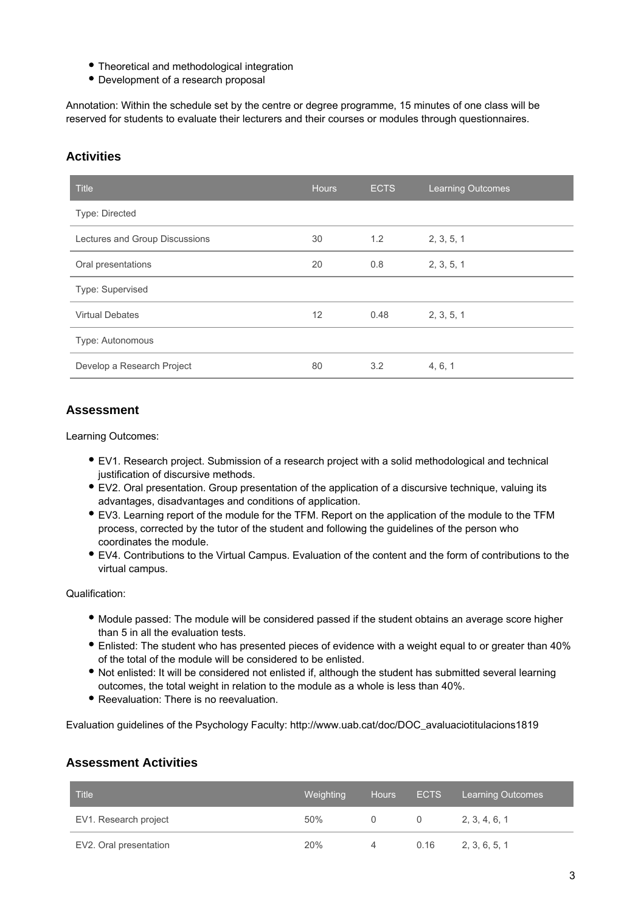- Theoretical and methodological integration
- Development of a research proposal

Annotation: Within the schedule set by the centre or degree programme, 15 minutes of one class will be reserved for students to evaluate their lecturers and their courses or modules through questionnaires.

## **Activities**

| <b>Title</b>                   | <b>Hours</b> | <b>ECTS</b> | <b>Learning Outcomes</b> |
|--------------------------------|--------------|-------------|--------------------------|
| Type: Directed                 |              |             |                          |
| Lectures and Group Discussions | 30           | 1.2         | 2, 3, 5, 1               |
| Oral presentations             | 20           | 0.8         | 2, 3, 5, 1               |
| Type: Supervised               |              |             |                          |
| <b>Virtual Debates</b>         | 12           | 0.48        | 2, 3, 5, 1               |
| Type: Autonomous               |              |             |                          |
| Develop a Research Project     | 80           | 3.2         | 4, 6, 1                  |

### **Assessment**

Learning Outcomes:

- EV1. Research project. Submission of a research project with a solid methodological and technical justification of discursive methods.
- EV2. Oral presentation. Group presentation of the application of a discursive technique, valuing its advantages, disadvantages and conditions of application.
- EV3. Learning report of the module for the TFM. Report on the application of the module to the TFM process, corrected by the tutor of the student and following the guidelines of the person who coordinates the module.
- EV4. Contributions to the Virtual Campus. Evaluation of the content and the form of contributions to the virtual campus.

Qualification:

- Module passed: The module will be considered passed if the student obtains an average score higher than 5 in all the evaluation tests.
- Enlisted: The student who has presented pieces of evidence with a weight equal to or greater than 40% of the total of the module will be considered to be enlisted.
- Not enlisted: It will be considered not enlisted if, although the student has submitted several learning outcomes, the total weight in relation to the module as a whole is less than 40%.
- Reevaluation: There is no reevaluation.

Evaluation guidelines of the Psychology Faculty: http://www.uab.cat/doc/DOC\_avaluaciotitulacions1819

#### **Assessment Activities**

| Title <sup>'</sup>     | Weighting | <b>Hours</b> |      | ECTS Learning Outcomes |
|------------------------|-----------|--------------|------|------------------------|
| EV1. Research project  | 50%       |              |      | 2, 3, 4, 6, 1          |
| EV2. Oral presentation | 20%       |              | 0.16 | 2, 3, 6, 5, 1          |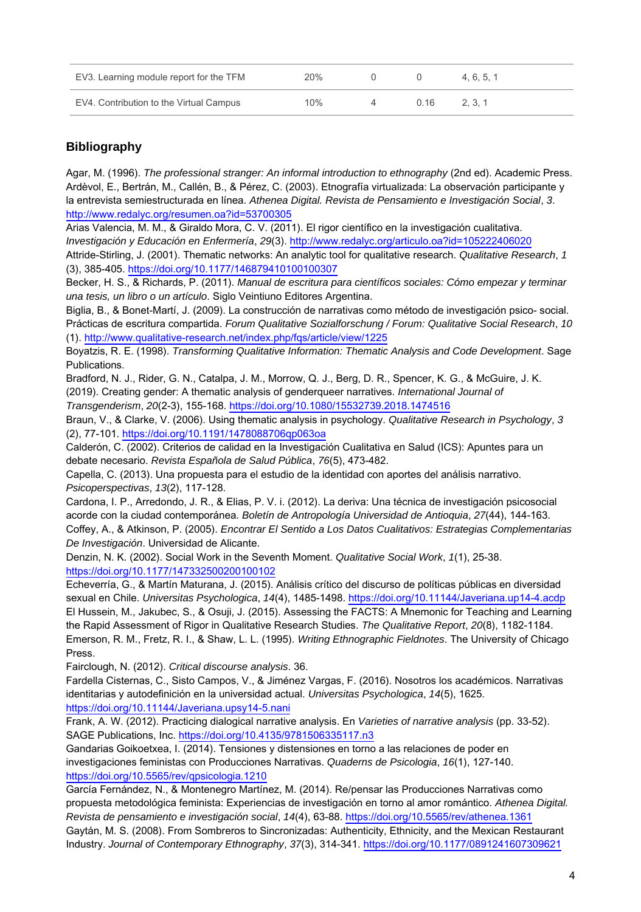| EV3. Learning module report for the TFM | 20% |      | 4.6.5.1 |
|-----------------------------------------|-----|------|---------|
| EV4. Contribution to the Virtual Campus | 10% | 0.16 | 2, 3, 1 |

# **Bibliography**

Agar, M. (1996). The professional stranger: An informal introduction to ethnography (2nd ed). Academic Press. Ardèvol, E., Bertrán, M., Callén, B., & Pérez, C. (2003). Etnografía virtualizada: La observación participante y la entrevista semiestructurada en línea. Athenea Digital. Revista de Pensamiento e Investigación Social, 3. <http://www.redalyc.org/resumen.oa?id=53700305>

Arias Valencia, M. M., & Giraldo Mora, C. V. (2011). El rigor científico en la investigación cualitativa. Investigación y Educación en Enfermería, 29(3). <http://www.redalyc.org/articulo.oa?id=105222406020>

Attride-Stirling, J. (2001). Thematic networks: An analytic tool for qualitative research. Qualitative Research, 1 (3), 385-405. <https://doi.org/10.1177/146879410100100307>

Becker, H. S., & Richards, P. (2011). Manual de escritura para científicos sociales: Cómo empezar y terminar una tesis, un libro o un artículo. Siglo Veintiuno Editores Argentina.

Biglia, B., & Bonet-Martí, J. (2009). La construcción de narrativas como método de investigación psico- social. Prácticas de escritura compartida. Forum Qualitative Sozialforschung / Forum: Qualitative Social Research, 10 (1).<http://www.qualitative-research.net/index.php/fqs/article/view/1225>

Boyatzis, R. E. (1998). Transforming Qualitative Information: Thematic Analysis and Code Development. Sage Publications.

Bradford, N. J., Rider, G. N., Catalpa, J. M., Morrow, Q. J., Berg, D. R., Spencer, K. G., & McGuire, J. K. (2019). Creating gender: A thematic analysis of gendergueer narratives. International Journal of Transgenderism, 20(2-3), 155-168. <https://doi.org/10.1080/15532739.2018.1474516>

Braun, V., & Clarke, V. (2006). Using thematic analysis in psychology. Qualitative Research in Psychology, 3 (2), 77-101.<https://doi.org/10.1191/1478088706qp063oa>

Calderón, C. (2002). Criterios de calidad en la Investigación Cualitativa en Salud (ICS): Apuntes para un debate necesario. Revista Española de Salud Pública, 76(5), 473-482.

Capella, C. (2013). Una propuesta para el estudio de la identidad con aportes del análisis narrativo. Psicoperspectivas, 13(2), 117-128.

Cardona, I. P., Arredondo, J. R., & Elias, P. V. i. (2012). La deriva: Una técnica de investigación psicosocial acorde con la ciudad contemporánea. Boletín de Antropología Universidad de Antioquia, 27(44), 144-163. Coffey, A., & Atkinson, P. (2005). Encontrar El Sentido a Los Datos Cualitativos: Estrategias Complementarias De Investigación. Universidad de Alicante.

Denzin, N. K. (2002). Social Work in the Seventh Moment. Qualitative Social Work, 1(1), 25-38. <https://doi.org/10.1177/147332500200100102>

Echeverría, G., & Martín Maturana, J. (2015). Análisis crítico del discurso de políticas públicas en diversidad sexual en Chile. Universitas Psychologica, 14(4), 1485-1498.<https://doi.org/10.11144/Javeriana.up14-4.acdp> El Hussein, M., Jakubec, S., & Osuji, J. (2015). Assessing the FACTS: A Mnemonic for Teaching and Learning the Rapid Assessment of Rigor in Qualitative Research Studies. The Qualitative Report, 20(8), 1182-1184. Emerson, R. M., Fretz, R. I., & Shaw, L. L. (1995). Writing Ethnographic Fieldnotes. The University of Chicago Press.

Fairclough, N. (2012). Critical discourse analysis. 36.

Fardella Cisternas, C., Sisto Campos, V., & Jiménez Vargas, F. (2016). Nosotros los académicos. Narrativas identitarias y autodefinición en la universidad actual. Universitas Psychologica, 14(5), 1625. <https://doi.org/10.11144/Javeriana.upsy14-5.nani>

Frank, A. W. (2012). Practicing dialogical narrative analysis. En Varieties of narrative analysis (pp. 33-52). SAGE Publications, Inc. <https://doi.org/10.4135/9781506335117.n3>

Gandarias Goikoetxea, I. (2014). Tensiones y distensiones en torno a las relaciones de poder en investigaciones feministas con Producciones Narrativas. Quaderns de Psicologia, 16(1), 127-140. <https://doi.org/10.5565/rev/qpsicologia.1210>

García Fernández, N., & Montenegro Martínez, M. (2014). Re/pensar las Producciones Narrativas como propuesta metodológica feminista: Experiencias de investigación en torno al amor romántico. Athenea Digital. Revista de pensamiento e investigación social, 14(4), 63-88. <https://doi.org/10.5565/rev/athenea.1361> Gaytán, M. S. (2008). From Sombreros to Sincronizadas: Authenticity, Ethnicity, and the Mexican Restaurant Industry. Journal of Contemporary Ethnography, 37(3), 314-341.<https://doi.org/10.1177/0891241607309621>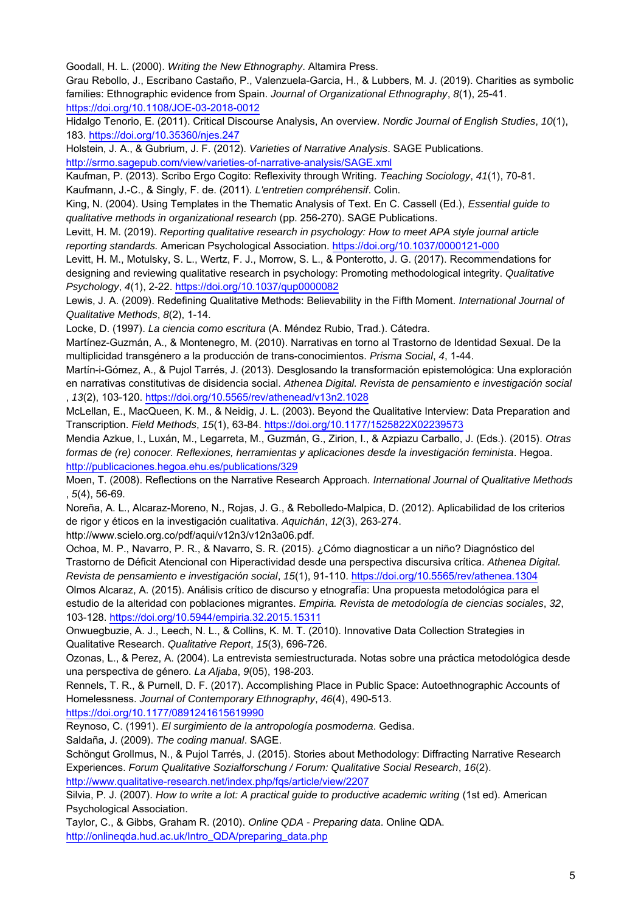Goodall, H. L. (2000). Writing the New Ethnography. Altamira Press.

Grau Rebollo, J., Escribano Castaño, P., Valenzuela-Garcia, H., & Lubbers, M. J. (2019). Charities as symbolic families: Ethnographic evidence from Spain. Journal of Organizational Ethnography, 8(1), 25-41. <https://doi.org/10.1108/JOE-03-2018-0012>

Hidalgo Tenorio, E. (2011). Critical Discourse Analysis, An overview. Nordic Journal of English Studies, 10(1), 183. <https://doi.org/10.35360/njes.247>

Holstein, J. A., & Gubrium, J. F. (2012). Varieties of Narrative Analysis. SAGE Publications. <http://srmo.sagepub.com/view/varieties-of-narrative-analysis/SAGE.xml>

Kaufman, P. (2013). Scribo Ergo Cogito: Reflexivity through Writing. Teaching Sociology, 41(1), 70-81. Kaufmann, J.-C., & Singly, F. de. (2011). L'entretien compréhensif. Colin.

King, N. (2004). Using Templates in the Thematic Analysis of Text. En C. Cassell (Ed.), Essential guide to qualitative methods in organizational research (pp. 256-270). SAGE Publications.

Levitt, H. M. (2019). Reporting qualitative research in psychology: How to meet APA style journal article reporting standards. American Psychological Association.<https://doi.org/10.1037/0000121-000>

Levitt, H. M., Motulsky, S. L., Wertz, F. J., Morrow, S. L., & Ponterotto, J. G. (2017). Recommendations for designing and reviewing qualitative research in psychology: Promoting methodological integrity. Qualitative Psychology, 4(1), 2-22. <https://doi.org/10.1037/qup0000082>

Lewis, J. A. (2009). Redefining Qualitative Methods: Believability in the Fifth Moment. International Journal of Qualitative Methods, 8(2), 1-14.

Locke, D. (1997). La ciencia como escritura (A. Méndez Rubio, Trad.). Cátedra.

Martínez-Guzmán, A., & Montenegro, M. (2010). Narrativas en torno al Trastorno de Identidad Sexual. De la multiplicidad transgénero a la producción de trans-conocimientos. Prisma Social, 4, 1-44.

Martín-i-Gómez, A., & Pujol Tarrés, J. (2013). Desglosando la transformación epistemológica: Una exploración en narrativas constitutivas de disidencia social. Athenea Digital. Revista de pensamiento e investigación social , 13(2), 103-120. <https://doi.org/10.5565/rev/athenead/v13n2.1028>

McLellan, E., MacQueen, K. M., & Neidig, J. L. (2003). Beyond the Qualitative Interview: Data Preparation and Transcription. Field Methods, 15(1), 63-84.<https://doi.org/10.1177/1525822X02239573>

Mendia Azkue, I., Luxán, M., Legarreta, M., Guzmán, G., Zirion, I., & Azpiazu Carballo, J. (Eds.). (2015). Otras formas de (re) conocer. Reflexiones, herramientas y aplicaciones desde la investigación feminista. Hegoa. <http://publicaciones.hegoa.ehu.es/publications/329>

Moen, T. (2008). Reflections on the Narrative Research Approach. International Journal of Qualitative Methods , 5(4), 56-69.

Noreña, A. L., Alcaraz-Moreno, N., Rojas, J. G., & Rebolledo-Malpica, D. (2012). Aplicabilidad de los criterios de rigor y éticos en la investigación cualitativa. Aquichán, 12(3), 263-274.

http://www.scielo.org.co/pdf/aqui/v12n3/v12n3a06.pdf.

Ochoa, M. P., Navarro, P. R., & Navarro, S. R. (2015). ¿Cómo diagnosticar a un niño? Diagnóstico del Trastorno de Déficit Atencional con Hiperactividad desde una perspectiva discursiva crítica. Athenea Digital. Revista de pensamiento e investigación social, 15(1), 91-110. <https://doi.org/10.5565/rev/athenea.1304>

Olmos Alcaraz, A. (2015). Análisis crítico de discurso y etnografía: Una propuesta metodológica para el estudio de la alteridad con poblaciones migrantes. Empiria. Revista de metodología de ciencias sociales, 32, 103-128. <https://doi.org/10.5944/empiria.32.2015.15311>

Onwuegbuzie, A. J., Leech, N. L., & Collins, K. M. T. (2010). Innovative Data Collection Strategies in Qualitative Research. Qualitative Report, 15(3), 696-726.

Ozonas, L., & Perez, A. (2004). La entrevista semiestructurada. Notas sobre una práctica metodológica desde una perspectiva de género. La Aljaba, 9(05), 198-203.

Rennels, T. R., & Purnell, D. F. (2017). Accomplishing Place in Public Space: Autoethnographic Accounts of Homelessness. Journal of Contemporary Ethnography, 46(4), 490-513.

<https://doi.org/10.1177/0891241615619990>

Reynoso, C. (1991). El surgimiento de la antropología posmoderna. Gedisa.

Saldaña, J. (2009). The coding manual. SAGE.

Schöngut Grollmus, N., & Pujol Tarrés, J. (2015). Stories about Methodology: Diffracting Narrative Research Experiences. Forum Qualitative Sozialforschung / Forum: Qualitative Social Research, 16(2). <http://www.qualitative-research.net/index.php/fqs/article/view/2207>

Silvia, P. J. (2007). How to write a lot: A practical guide to productive academic writing (1st ed). American Psychological Association.

Taylor, C., & Gibbs, Graham R. (2010). Online QDA - Preparing data. Online QDA. [http://onlineqda.hud.ac.uk/Intro\\_QDA/preparing\\_data.php](http://onlineqda.hud.ac.uk/Intro_QDA/preparing_data.php)